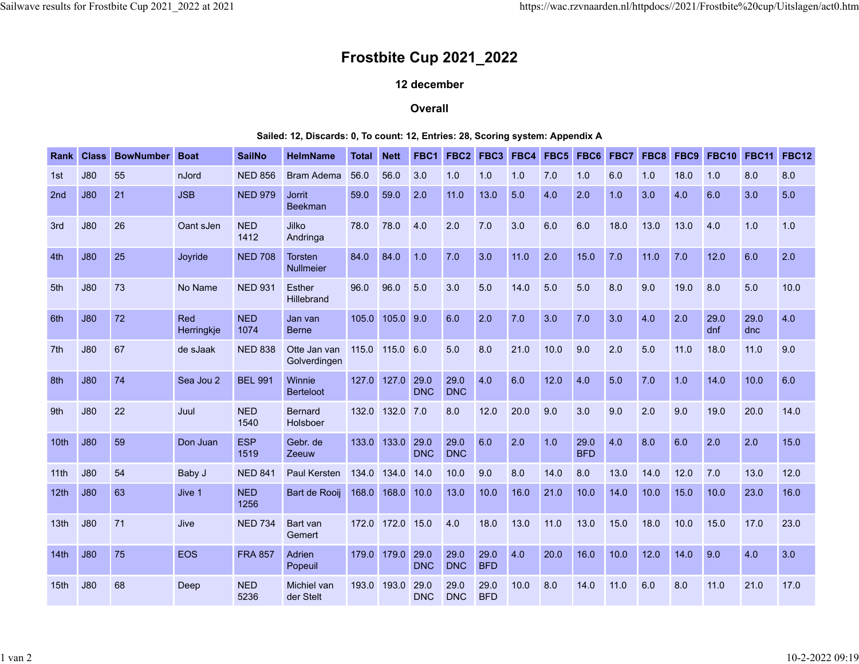## **Frostbite Cup 2021\_2022**

## **12 december**

## **Overall**

## **Sailed: 12, Discards: 0, To count: 12, Entries: 28, Scoring system: Appendix A**

| Rank             | <b>Class</b> | <b>BowNumber</b> | <b>Boat</b>       | <b>SailNo</b>      | <b>HelmName</b>                    | Total | <b>Nett</b>      | FBC1               | FBC <sub>2</sub>   | FBC3               | FBC4 | FBC5 | FBC6               | FBC7 | FBC8 | FBC9 | <b>FBC10</b> | <b>FBC11</b> | <b>FBC12</b> |
|------------------|--------------|------------------|-------------------|--------------------|------------------------------------|-------|------------------|--------------------|--------------------|--------------------|------|------|--------------------|------|------|------|--------------|--------------|--------------|
| 1st              | J80          | 55               | nJord             | <b>NED 856</b>     | <b>Bram Adema</b>                  | 56.0  | 56.0             | 3.0                | 1.0                | 1.0                | 1.0  | 7.0  | 1.0                | 6.0  | 1.0  | 18.0 | 1.0          | 8.0          | 8.0          |
| 2nd              | J80          | 21               | <b>JSB</b>        | <b>NED 979</b>     | <b>Jorrit</b><br><b>Beekman</b>    | 59.0  | 59.0             | 2.0                | 11.0               | 13.0               | 5.0  | 4.0  | 2.0                | 1.0  | 3.0  | 4.0  | 6.0          | 3.0          | 5.0          |
| 3rd              | J80          | 26               | Oant sJen         | <b>NED</b><br>1412 | Jilko<br>Andringa                  | 78.0  | 78.0             | 4.0                | 2.0                | 7.0                | 3.0  | 6.0  | 6.0                | 18.0 | 13.0 | 13.0 | 4.0          | 1.0          | 1.0          |
| 4th              | J80          | 25               | Joyride           | <b>NED 708</b>     | <b>Torsten</b><br><b>Nullmeier</b> | 84.0  | 84.0             | 1.0                | 7.0                | 3.0                | 11.0 | 2.0  | 15.0               | 7.0  | 11.0 | 7.0  | 12.0         | 6.0          | 2.0          |
| 5th              | J80          | 73               | No Name           | <b>NED 931</b>     | <b>Esther</b><br>Hillebrand        | 96.0  | 96.0             | 5.0                | 3.0                | 5.0                | 14.0 | 5.0  | 5.0                | 8.0  | 9.0  | 19.0 | 8.0          | 5.0          | 10.0         |
| 6th              | J80          | 72               | Red<br>Herringkje | <b>NED</b><br>1074 | Jan van<br><b>Berne</b>            | 105.0 | 105.0 9.0        |                    | 6.0                | 2.0                | 7.0  | 3.0  | 7.0                | 3.0  | 4.0  | 2.0  | 29.0<br>dnf  | 29.0<br>dnc  | 4.0          |
| 7 <sup>th</sup>  | J80          | 67               | de sJaak          | <b>NED 838</b>     | Otte Jan van<br>Golverdingen       | 115.0 | 115.0 6.0        |                    | 5.0                | 8.0                | 21.0 | 10.0 | 9.0                | 2.0  | 5.0  | 11.0 | 18.0         | 11.0         | 9.0          |
| 8th              | J80          | 74               | Sea Jou 2         | <b>BEL 991</b>     | Winnie<br><b>Berteloot</b>         | 127.0 | 127.0            | 29.0<br><b>DNC</b> | 29.0<br><b>DNC</b> | 4.0                | 6.0  | 12.0 | 4.0                | 5.0  | 7.0  | 1.0  | 14.0         | 10.0         | 6.0          |
| 9th              | J80          | 22               | Juul              | <b>NED</b><br>1540 | <b>Bernard</b><br>Holsboer         | 132.0 | 132.0            | 7.0                | 8.0                | 12.0               | 20.0 | 9.0  | 3.0                | 9.0  | 2.0  | 9.0  | 19.0         | 20.0         | 14.0         |
| 10th             | J80          | 59               | Don Juan          | <b>ESP</b><br>1519 | Gebr. de<br>Zeeuw                  | 133.0 | 133.0            | 29.0<br><b>DNC</b> | 29.0<br><b>DNC</b> | 6.0                | 2.0  | 1.0  | 29.0<br><b>BFD</b> | 4.0  | 8.0  | 6.0  | 2.0          | 2.0          | 15.0         |
| 11th             | J80          | 54               | Baby J            | <b>NED 841</b>     | Paul Kersten                       | 134.0 | 134.0            | 14.0               | 10.0               | 9.0                | 8.0  | 14.0 | 8.0                | 13.0 | 14.0 | 12.0 | 7.0          | 13.0         | 12.0         |
| 12 <sub>th</sub> | J80          | 63               | Jive 1            | <b>NED</b><br>1256 | Bart de Rooij                      | 168.0 | 168.0            | 10.0               | 13.0               | 10.0               | 16.0 | 21.0 | 10.0               | 14.0 | 10.0 | 15.0 | 10.0         | 23.0         | 16.0         |
| 13 <sub>th</sub> | J80          | 71               | Jive              | <b>NED 734</b>     | Bart van<br>Gemert                 |       | 172.0 172.0 15.0 |                    | 4.0                | 18.0               | 13.0 | 11.0 | 13.0               | 15.0 | 18.0 | 10.0 | 15.0         | 17.0         | 23.0         |
| 14th             | J80          | 75               | <b>EOS</b>        | <b>FRA 857</b>     | Adrien<br>Popeuil                  | 179.0 | 179.0            | 29.0<br><b>DNC</b> | 29.0<br><b>DNC</b> | 29.0<br><b>BFD</b> | 4.0  | 20.0 | 16.0               | 10.0 | 12.0 | 14.0 | 9.0          | 4.0          | 3.0          |
| 15 <sub>th</sub> | J80          | 68               | Deep              | <b>NED</b><br>5236 | Michiel van<br>der Stelt           |       | 193.0 193.0      | 29.0<br><b>DNC</b> | 29.0<br><b>DNC</b> | 29.0<br><b>BFD</b> | 10.0 | 8.0  | 14.0               | 11.0 | 6.0  | 8.0  | 11.0         | 21.0         | 17.0         |